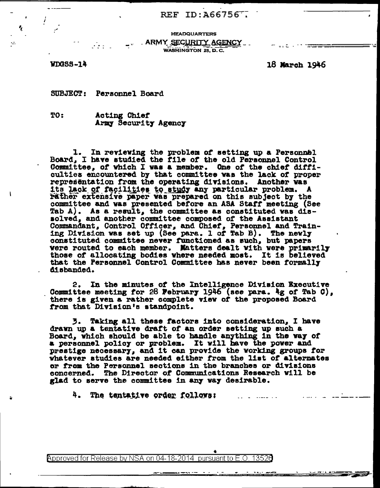## REF ID:  $\lambda$ 66756<sup>--</sup>

**HEADQUARTERS** \_\_\_\_ ARMY SECURITY AGENCY

WASHINGTON 25, D.C.

WDGSS-14

۰,

ΥŻ.

18 March 1946

SUBJECT: Personnel Board

 $\mathcal{L}_{\mathcal{F}}$  is a set of  $\mathcal{F}$ 

TO: Acting Chief Army Security Agency

1. In reviewing the problem of setting up a Personnel Board, I have studied the file of the old Personnel Control Committee, of which I was a member. One of the chief difficulties encountered by that committee was the lack of proper representation from the operating divisions. Another was its lack of facilities to study any particular problem. A rather extensive paper was prepared on this subject by the committee and was presented before an ASA Staff meeting (See Tab A). As a result, the committee as constituted was dis-<br>solved, and another committee composed of the Assistant<br>Commandant, Control Officer, and Chief, Personnel and Train-<br>ing Division was set up (See para. l of Tab B) constituted committee never functioned as such, but papers were routed to each member. Matters dealt with were primarily those of allocating bodies where needed most. It is believed that the Personnel Control Committee has never been formally disbanded.

2. In the minutes of the Intelligence Division Executive Committee meeting for 28 February 1946 (see para. 4g of Tab C), there is given a rather complete view of the proposed Board from that Division's standpoint.

Taking all these factors into consideration, I have 3. drawn up a tentative draft of an order setting up such a Board, which should be able to handle anything in the way of a personnel policy or problem. It will have the power and prestige necessary, and it can provide the working groups for whatever studies are needed either from the list of alternates or from the Personnel sections in the branches or divisions concerned. The Director of Communications Research will be glad to serve the committee in any way desirable.

4. The tentative order follows:  $\sim$   $\sim$   $\sim$   $\sim$   $\sim$   $\sim$   $\sim$ 

Approved for Release by NSA on 04-18-2014 pursuant to E.O. 13520